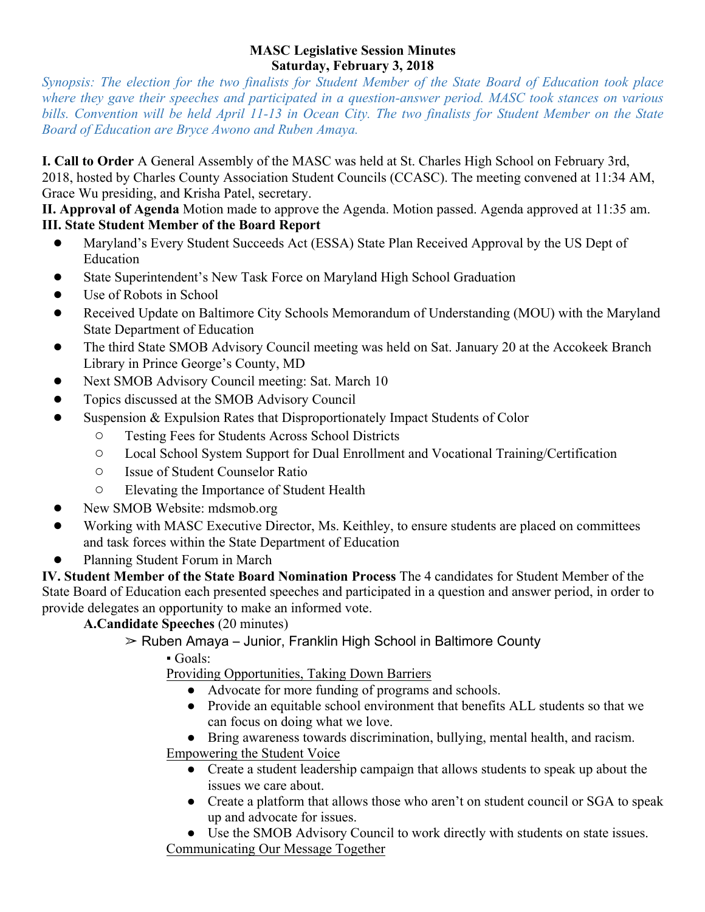#### **MASC Legislative Session Minutes Saturday, February 3, 2018**

*Synopsis: The election for the two finalists for Student Member of the State Board of Education took place where they gave their speeches and participated in a question-answer period. MASC took stances on various bills. Convention will be held April 11-13 in Ocean City. The two finalists for Student Member on the State Board of Education are Bryce Awono and Ruben Amaya.*

**I. Call to Order** A General Assembly of the MASC was held at St. Charles High School on February 3rd, 2018, hosted by Charles County Association Student Councils (CCASC). The meeting convened at 11:34 AM, Grace Wu presiding, and Krisha Patel, secretary.

**II. Approval of Agenda** Motion made to approve the Agenda. Motion passed. Agenda approved at 11:35 am. **III. State Student Member of the Board Report**

- Maryland's Every Student Succeeds Act (ESSA) State Plan Received Approval by the US Dept of Education
- State Superintendent's New Task Force on Maryland High School Graduation
- Use of Robots in School
- Received Update on Baltimore City Schools Memorandum of Understanding (MOU) with the Maryland State Department of Education
- The third State SMOB Advisory Council meeting was held on Sat. January 20 at the Accokeek Branch Library in Prince George's County, MD
- Next SMOB Advisory Council meeting: Sat. March 10
- Topics discussed at the SMOB Advisory Council
- Suspension & Expulsion Rates that Disproportionately Impact Students of Color
	- Testing Fees for Students Across School Districts
	- Local School System Support for Dual Enrollment and Vocational Training/Certification
	- Issue of Student Counselor Ratio
	- Elevating the Importance of Student Health
- New SMOB Website: mdsmob.org
- Working with MASC Executive Director, Ms. Keithley, to ensure students are placed on committees and task forces within the State Department of Education
- Planning Student Forum in March

**IV. Student Member of the State Board Nomination Process** The 4 candidates for Student Member of the State Board of Education each presented speeches and participated in a question and answer period, in order to provide delegates an opportunity to make an informed vote.

# **A.Candidate Speeches** (20 minutes)

- $\geq$  Ruben Amaya Junior, Franklin High School in Baltimore County
	- $\cdot$  Goals:

Providing Opportunities, Taking Down Barriers

- Advocate for more funding of programs and schools.
- Provide an equitable school environment that benefits ALL students so that we can focus on doing what we love.
- Bring awareness towards discrimination, bullying, mental health, and racism. Empowering the Student Voice
	- Create a student leadership campaign that allows students to speak up about the issues we care about.
	- Create a platform that allows those who aren't on student council or SGA to speak up and advocate for issues.
- Use the SMOB Advisory Council to work directly with students on state issues. Communicating Our Message Together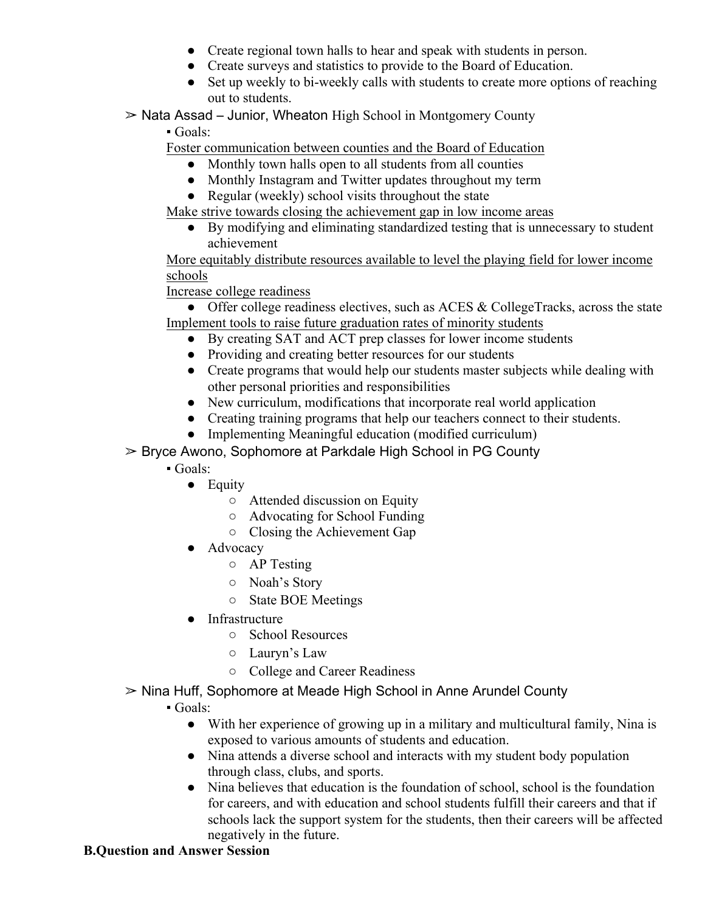- Create regional town halls to hear and speak with students in person.
- Create surveys and statistics to provide to the Board of Education.
- Set up weekly to bi-weekly calls with students to create more options of reaching out to students.
- $\geq$  Nata Assad Junior, Wheaton High School in Montgomery County

▪ Goals:

Foster communication between counties and the Board of Education

- Monthly town halls open to all students from all counties
- Monthly Instagram and Twitter updates throughout my term
- Regular (weekly) school visits throughout the state

Make strive towards closing the achievement gap in low income areas

● By modifying and eliminating standardized testing that is unnecessary to student achievement

More equitably distribute resources available to level the playing field for lower income schools

Increase college readiness

• Offer college readiness electives, such as ACES & CollegeTracks, across the state Implement tools to raise future graduation rates of minority students

- By creating SAT and ACT prep classes for lower income students
- Providing and creating better resources for our students
- Create programs that would help our students master subjects while dealing with other personal priorities and responsibilities
- New curriculum, modifications that incorporate real world application
- Creating training programs that help our teachers connect to their students.
- Implementing Meaningful education (modified curriculum)

➢ Bryce Awono, Sophomore at Parkdale High School in PG County

- Goals:
	- Equity
		- Attended discussion on Equity
		- Advocating for School Funding
		- Closing the Achievement Gap
	- Advocacy
		- AP Testing
		- Noah's Story
		- State BOE Meetings
	- Infrastructure
		- School Resources
		- Lauryn's Law
		- College and Career Readiness
- ➢ Nina Huff, Sophomore at Meade High School in Anne Arundel County
	- Goals:
		- With her experience of growing up in a military and multicultural family, Nina is exposed to various amounts of students and education.
		- Nina attends a diverse school and interacts with my student body population through class, clubs, and sports.
		- Nina believes that education is the foundation of school, school is the foundation for careers, and with education and school students fulfill their careers and that if schools lack the support system for the students, then their careers will be affected negatively in the future.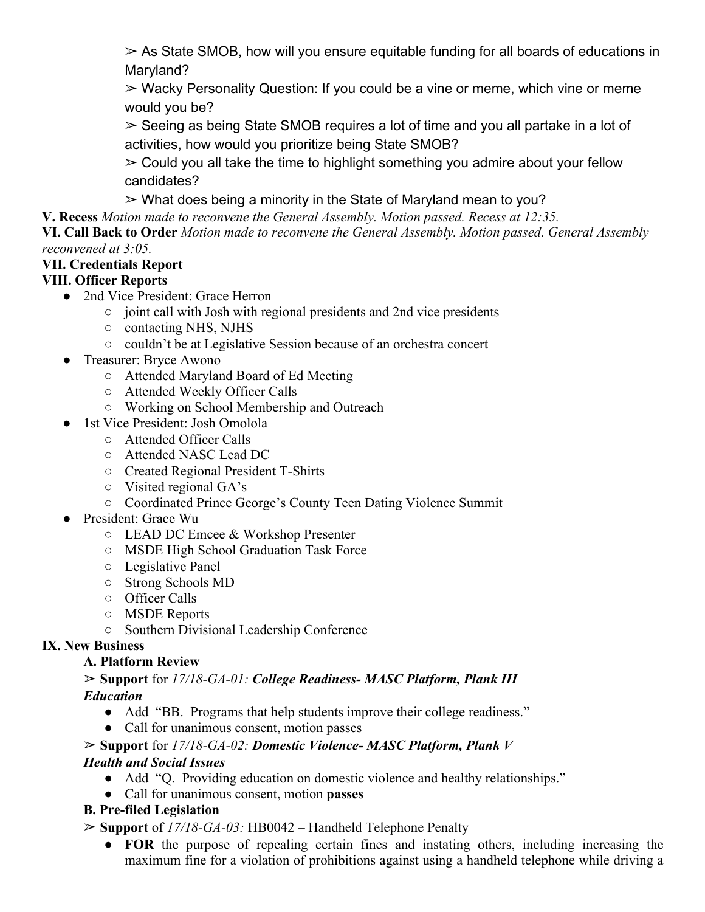$\geq$  As State SMOB, how will you ensure equitable funding for all boards of educations in Maryland?

 $\geq$  Wacky Personality Question: If you could be a vine or meme, which vine or meme would you be?

 $\geq$  Seeing as being State SMOB requires a lot of time and you all partake in a lot of activities, how would you prioritize being State SMOB?

 $\geq$  Could you all take the time to highlight something you admire about your fellow candidates?

 $\geq$  What does being a minority in the State of Maryland mean to you?

**V. Recess** *Motion made to reconvene the General Assembly. Motion passed. Recess at 12:35.*

**VI. Call Back to Order** *Motion made to reconvene the General Assembly. Motion passed. General Assembly reconvened at 3:05.*

## **VII. Credentials Report**

## **VIII. Officer Reports**

- 2nd Vice President: Grace Herron
	- joint call with Josh with regional presidents and 2nd vice presidents
	- contacting NHS, NJHS
	- couldn't be at Legislative Session because of an orchestra concert
- Treasurer: Bryce Awono
	- Attended Maryland Board of Ed Meeting
	- Attended Weekly Officer Calls
	- Working on School Membership and Outreach
- 1st Vice President: Josh Omolola
	- Attended Officer Calls
	- Attended NASC Lead DC
	- Created Regional President T-Shirts
	- Visited regional GA's
	- Coordinated Prince George's County Teen Dating Violence Summit
- President: Grace Wu
	- LEAD DC Emcee & Workshop Presenter
	- MSDE High School Graduation Task Force
	- Legislative Panel
	- Strong Schools MD
	- Officer Calls
	- MSDE Reports
	- Southern Divisional Leadership Conference

## **IX. New Business**

## **A. Platform Review**

### ➢ **Support** for *17/18-GA-01: College Readiness- MASC Platform, Plank III Education*

- Add "BB. Programs that help students improve their college readiness."
- Call for unanimous consent, motion passes

# ➢ **Support** for *17/18-GA-02: Domestic Violence- MASC Platform, Plank V*

## *Health and Social Issues*

- Add "Q. Providing education on domestic violence and healthy relationships."
- Call for unanimous consent, motion **passes**

## **B. Pre-filed Legislation**

- ➢ **Support** of *17/18-GA-03:* HB0042 Handheld Telephone Penalty
	- **FOR** the purpose of repealing certain fines and instating others, including increasing the maximum fine for a violation of prohibitions against using a handheld telephone while driving a